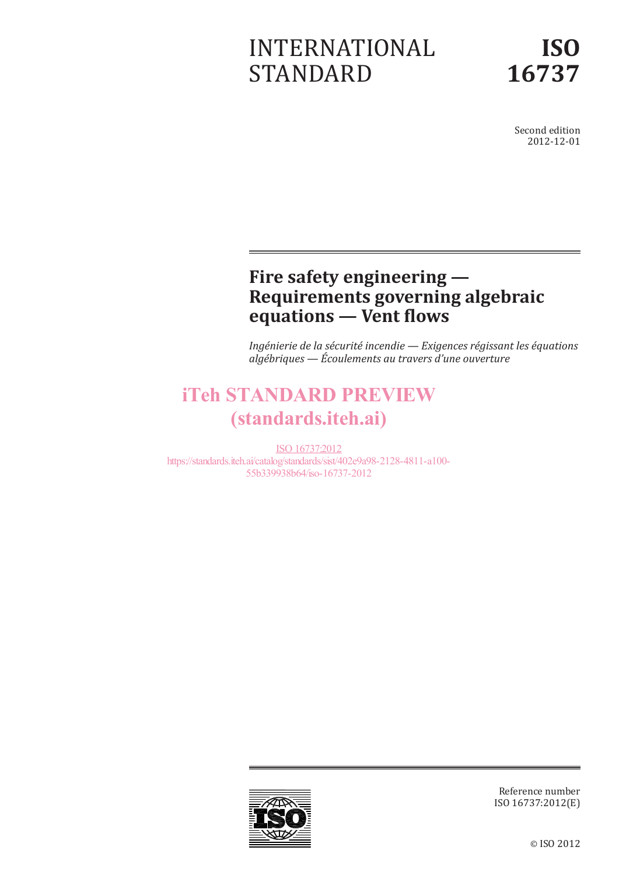# INTERNATIONAL STANDARD

Second edition 2012-12-01

# **Fire safety engineering — Requirements governing algebraic equations — Vent flows**

*Ingénierie de la sécurité incendie — Exigences régissant les équations algébriques — Écoulements au travers d'une ouverture*

# iTeh STANDARD PREVIEW (standards.iteh.ai)

ISO 16737:2012 https://standards.iteh.ai/catalog/standards/sist/402e9a98-2128-4811-a100- 55b339938b64/iso-16737-2012



Reference number ISO 16737:2012(E)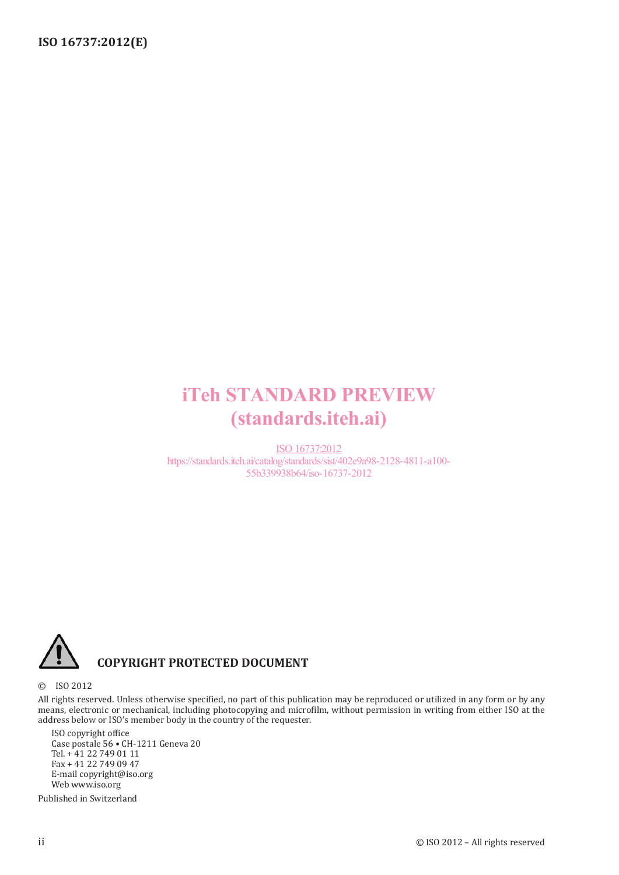# iTeh STANDARD PREVIEW (standards.iteh.ai)

ISO 16737:2012 https://standards.iteh.ai/catalog/standards/sist/402e9a98-2128-4811-a100- 55b339938b64/iso-16737-2012



## **COPYRIGHT PROTECTED DOCUMENT**

© ISO 2012

All rights reserved. Unless otherwise specified, no part of this publication may be reproduced or utilized in any form or by any means, electronic or mechanical, including photocopying and microfilm, without permission in writing from either ISO at the address below or ISO's member body in the country of the requester.

ISO copyright office Case postale 56 • CH-1211 Geneva 20 Tel. + 41 22 749 01 11 Fax + 41 22 749 09 47 E-mail copyright@iso.org Web www.iso.org

Published in Switzerland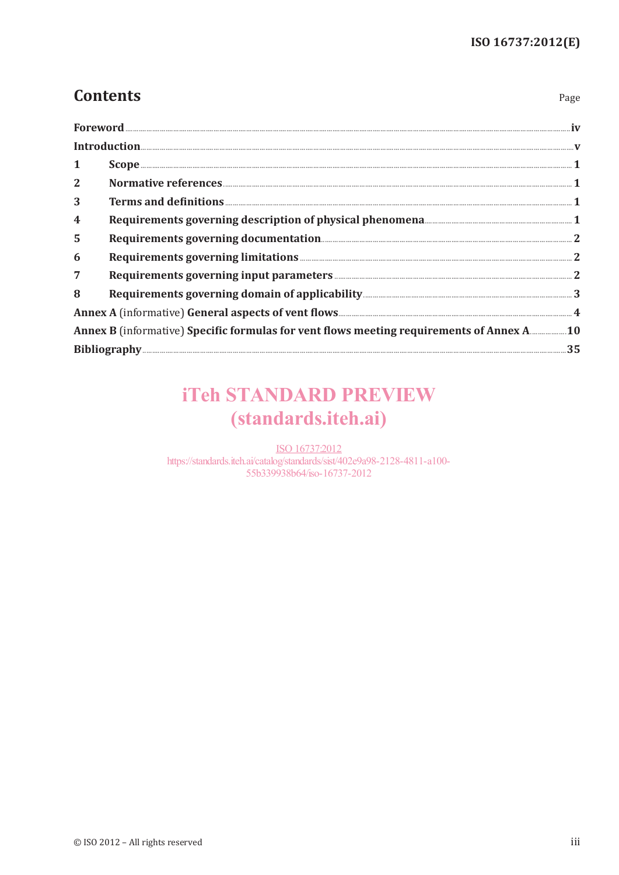Page

# **Contents**

| $\mathbf{1}$   | $\textbf{Scope} \texttt{} \texttt{} \texttt{} \texttt{} \texttt{} \texttt{} \texttt{} \texttt{} \texttt{} \texttt{} \texttt{} \texttt{} \texttt{} \texttt{} \texttt{} \texttt{} \texttt{} \texttt{} \texttt{} \texttt{} \texttt{} \texttt{} \texttt{} \texttt{} \texttt{} \texttt{} \texttt{} \texttt{} \texttt{} \texttt{} \texttt{} \texttt{} \texttt{} \texttt{} \texttt{} \texttt{$ |  |
|----------------|-----------------------------------------------------------------------------------------------------------------------------------------------------------------------------------------------------------------------------------------------------------------------------------------------------------------------------------------------------------------------------------------|--|
| $\mathbf{2}$   |                                                                                                                                                                                                                                                                                                                                                                                         |  |
| 3              |                                                                                                                                                                                                                                                                                                                                                                                         |  |
| 4              |                                                                                                                                                                                                                                                                                                                                                                                         |  |
| 5              |                                                                                                                                                                                                                                                                                                                                                                                         |  |
| 6              |                                                                                                                                                                                                                                                                                                                                                                                         |  |
| $\overline{7}$ | Requirements governing input parameters <b>Manual Community and September 2</b>                                                                                                                                                                                                                                                                                                         |  |
| 8              | Requirements governing domain of applicability <b>[19] Requirements</b> 3                                                                                                                                                                                                                                                                                                               |  |
|                |                                                                                                                                                                                                                                                                                                                                                                                         |  |
|                | Annex B (informative) Specific formulas for vent flows meeting requirements of Annex A10                                                                                                                                                                                                                                                                                                |  |
|                |                                                                                                                                                                                                                                                                                                                                                                                         |  |

# **iTeh STANDARD PREVIEW** (standards.iteh.ai)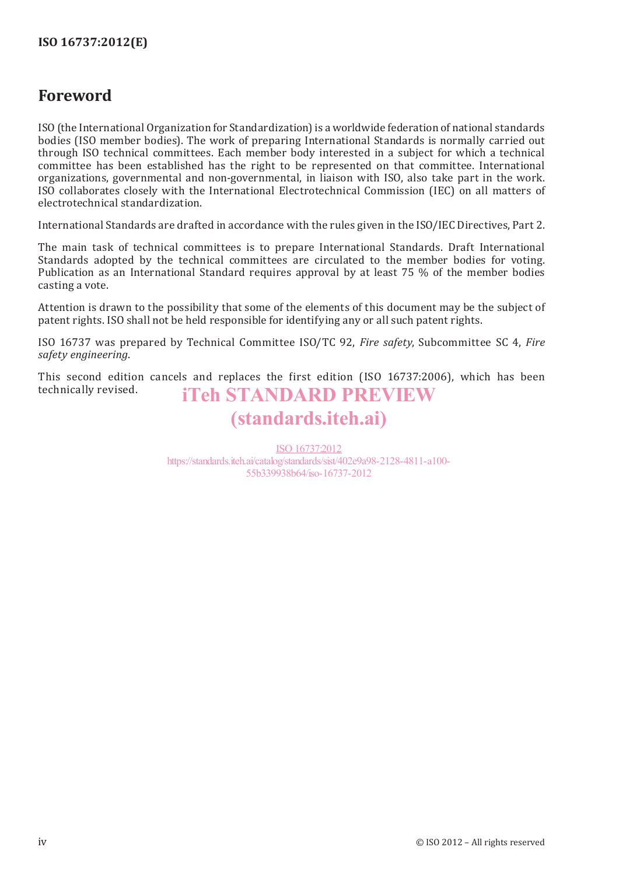# **Foreword**

ISO (the International Organization for Standardization) is a worldwide federation of national standards bodies (ISO member bodies). The work of preparing International Standards is normally carried out through ISO technical committees. Each member body interested in a subject for which a technical committee has been established has the right to be represented on that committee. International organizations, governmental and non-governmental, in liaison with ISO, also take part in the work. ISO collaborates closely with the International Electrotechnical Commission (IEC) on all matters of electrotechnical standardization.

International Standards are drafted in accordance with the rules given in the ISO/IEC Directives, Part 2.

The main task of technical committees is to prepare International Standards. Draft International Standards adopted by the technical committees are circulated to the member bodies for voting. Publication as an International Standard requires approval by at least 75 % of the member bodies casting a vote.

Attention is drawn to the possibility that some of the elements of this document may be the subject of patent rights. ISO shall not be held responsible for identifying any or all such patent rights.

ISO 16737 was prepared by Technical Committee ISO/TC 92, *Fire safety*, Subcommittee SC 4, *Fire safety engineering*.

This second edition cancels and replaces the first edition (ISO 16737:2006), which has been technically revised. iTeh STANDARD PREVIEW

# (standards.iteh.ai)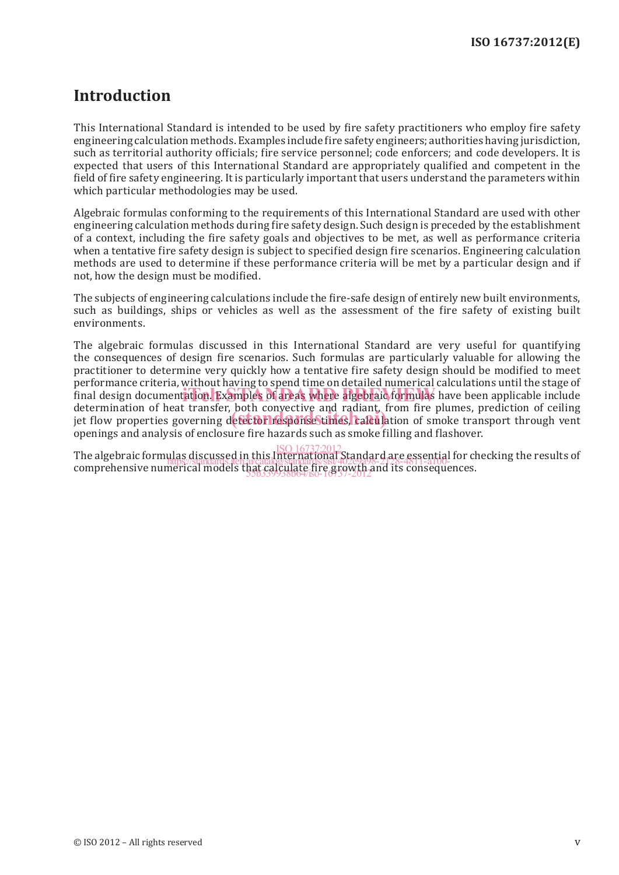# **Introduction**

This International Standard is intended to be used by fire safety practitioners who employ fire safety engineering calculation methods. Examples include fire safety engineers; authorities having jurisdiction, such as territorial authority officials; fire service personnel; code enforcers; and code developers. It is expected that users of this International Standard are appropriately qualified and competent in the field of fire safety engineering. It is particularly important that users understand the parameters within which particular methodologies may be used.

Algebraic formulas conforming to the requirements of this International Standard are used with other engineering calculation methods during fire safety design. Such design is preceded by the establishment of a context, including the fire safety goals and objectives to be met, as well as performance criteria when a tentative fire safety design is subject to specified design fire scenarios. Engineering calculation methods are used to determine if these performance criteria will be met by a particular design and if not, how the design must be modified.

The subjects of engineering calculations include the fire-safe design of entirely new built environments, such as buildings, ships or vehicles as well as the assessment of the fire safety of existing built environments.

The algebraic formulas discussed in this International Standard are very useful for quantifying the consequences of design fire scenarios. Such formulas are particularly valuable for allowing the practitioner to determine very quickly how a tentative fire safety design should be modified to meet performance criteria, without having to spend time on detailed numerical calculations until the stage of performance errier ta, while at having to spend time on detailed handel date at calculations until the stage of<br>final design documentation. Examples of areas where algebraic formulas have been applicable include determination of heat transfer, both convective and radiant, from fire plumes, prediction of ceiling determination of heat transfer, both convective and radiant, from the plumes, prediction of centrig<br>jet flow properties governing detector response times, calculation of smoke transport through vent openings and analysis of enclosure fire hazards such as smoke filling and flashover.

The algebraic formulas discussed in this International Standard are essential for checking the results of comprehensive numerical models that calculate fire growth and its consequences. ISO 16737:2012 https://standards.iteh.ai/catalog/standards/sist/402e9a98-2128-4811-a100- 55b339938b64/iso-16737-2012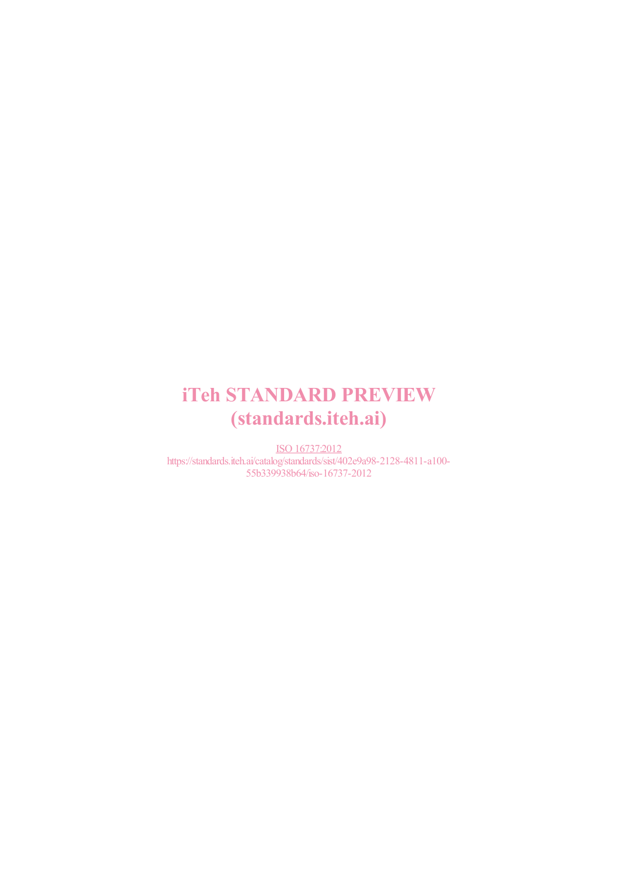# iTeh STANDARD PREVIEW (standards.iteh.ai)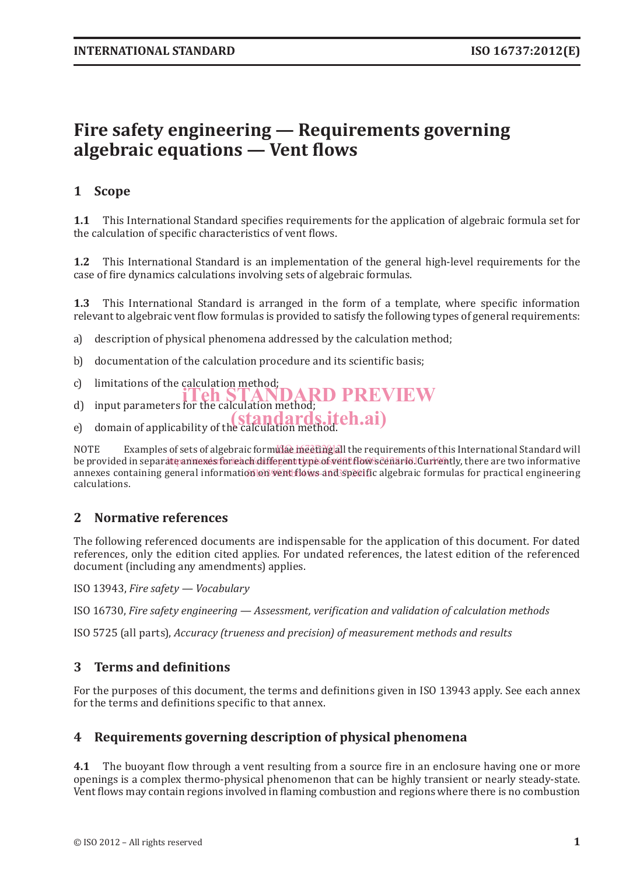# **Fire safety engineering — Requirements governing algebraic equations — Vent flows**

# **1 Scope**

**1.1** This International Standard specifies requirements for the application of algebraic formula set for the calculation of specific characteristics of vent flows.

**1.2** This International Standard is an implementation of the general high-level requirements for the case of fire dynamics calculations involving sets of algebraic formulas.

**1.3** This International Standard is arranged in the form of a template, where specific information relevant to algebraic vent flow formulas is provided to satisfy the following types of general requirements:

a) description of physical phenomena addressed by the calculation method;

- b) documentation of the calculation procedure and its scientific basis;
- c) limitations of the calculation method;
- d) input parameters for the calculation method; **RD PREVIEW**
- e) domain of applicability of the calculation method.
- 

NOTE Examples of sets of algebraic formulae meeting all the requirements of this International Standard will be provided in separate annexes for each different type of vent flows cenario. Currently, there are two informative annexes containing general information on vent flows and specific algebraic formulas for practical engineering calculations.

### **2 Normative references**

The following referenced documents are indispensable for the application of this document. For dated references, only the edition cited applies. For undated references, the latest edition of the referenced document (including any amendments) applies.

ISO 13943, *Fire safety — Vocabulary*

ISO 16730, *Fire safety engineering — Assessment, verification and validation of calculation methods*

ISO 5725 (all parts), *Accuracy (trueness and precision) of measurement methods and results*

### **3 Terms and definitions**

For the purposes of this document, the terms and definitions given in ISO 13943 apply. See each annex for the terms and definitions specific to that annex.

### **4 Requirements governing description of physical phenomena**

**4.1** The buoyant flow through a vent resulting from a source fire in an enclosure having one or more openings is a complex thermo-physical phenomenon that can be highly transient or nearly steady-state. Vent flows may contain regions involved in flaming combustion and regions where there is no combustion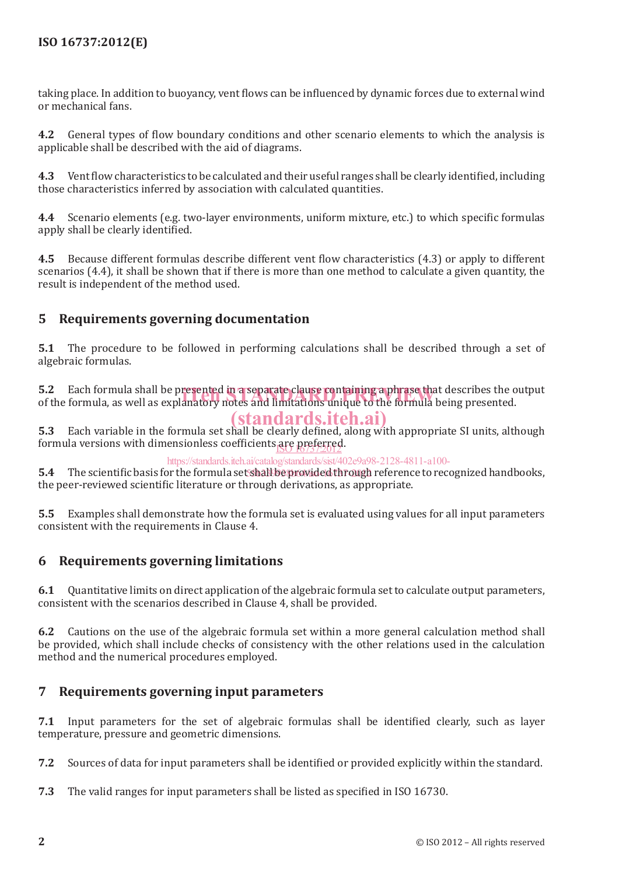taking place. In addition to buoyancy, vent flows can be influenced by dynamic forces due to external wind or mechanical fans.

**4.2** General types of flow boundary conditions and other scenario elements to which the analysis is applicable shall be described with the aid of diagrams.

**4.3** Vent flow characteristics to be calculated and their useful ranges shall be clearly identified, including those characteristics inferred by association with calculated quantities.

**4.4** Scenario elements (e.g. two-layer environments, uniform mixture, etc.) to which specific formulas apply shall be clearly identified.

**4.5** Because different formulas describe different vent flow characteristics (4.3) or apply to different scenarios (4.4), it shall be shown that if there is more than one method to calculate a given quantity, the result is independent of the method used.

## **5 Requirements governing documentation**

**5.1** The procedure to be followed in performing calculations shall be described through a set of algebraic formulas.

**5.2** Each formula shall be presented in a separate clause containing a phrase that describes the output **5.2** Each formula shall be presented in a separate clause containing a phrase that describes the c<br>of the formula, as well as explanatory notes and limitations unique to the formula being presented.

## (standards.iteh.ai)

**5.3** Each variable in the formula set shall be clearly defined, along with appropriate SI units, although formula versions with dimensionless coefficients are preferred.

https://standards.iteh.ai/catalog/standards/sist/402e9a98-2128-4811-a100-

5.4 The scientific basis for the formula set shall be provided through reference to recognized handbooks, the peer-reviewed scientific literature or through derivations, as appropriate.

**5.5** Examples shall demonstrate how the formula set is evaluated using values for all input parameters consistent with the requirements in Clause 4.

### **6 Requirements governing limitations**

**6.1** Quantitative limits on direct application of the algebraic formula set to calculate output parameters, consistent with the scenarios described in Clause 4, shall be provided.

**6.2** Cautions on the use of the algebraic formula set within a more general calculation method shall be provided, which shall include checks of consistency with the other relations used in the calculation method and the numerical procedures employed.

### **7 Requirements governing input parameters**

**7.1** Input parameters for the set of algebraic formulas shall be identified clearly, such as layer temperature, pressure and geometric dimensions.

**7.2** Sources of data for input parameters shall be identified or provided explicitly within the standard.

**7.3** The valid ranges for input parameters shall be listed as specified in ISO 16730.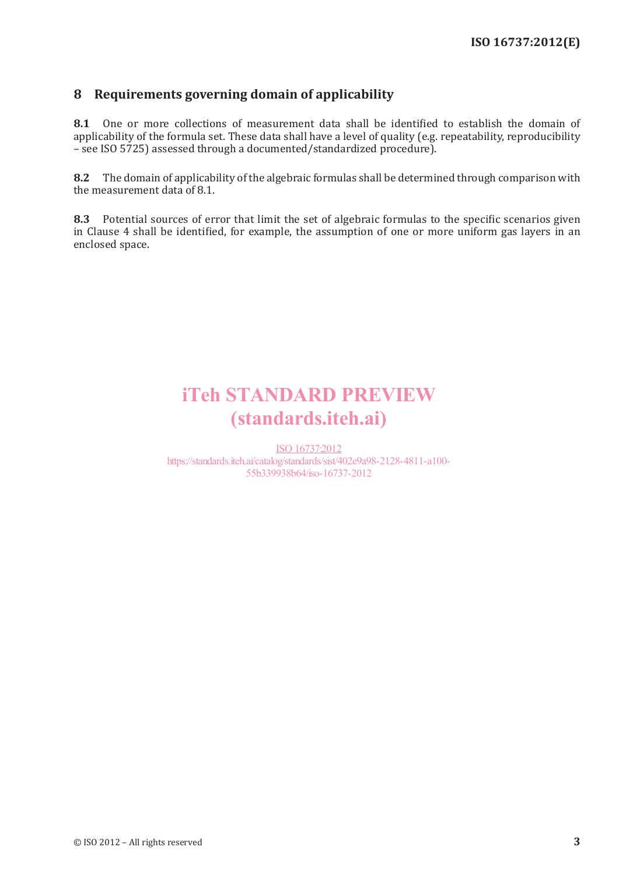## **8 Requirements governing domain of applicability**

**8.1** One or more collections of measurement data shall be identified to establish the domain of applicability of the formula set. These data shall have a level of quality (e.g. repeatability, reproducibility – see ISO 5725) assessed through a documented/standardized procedure).

**8.2** The domain of applicability of the algebraic formulas shall be determined through comparison with the measurement data of 8.1.

**8.3** Potential sources of error that limit the set of algebraic formulas to the specific scenarios given in Clause 4 shall be identified, for example, the assumption of one or more uniform gas layers in an enclosed space.

# iTeh STANDARD PREVIEW (standards.iteh.ai)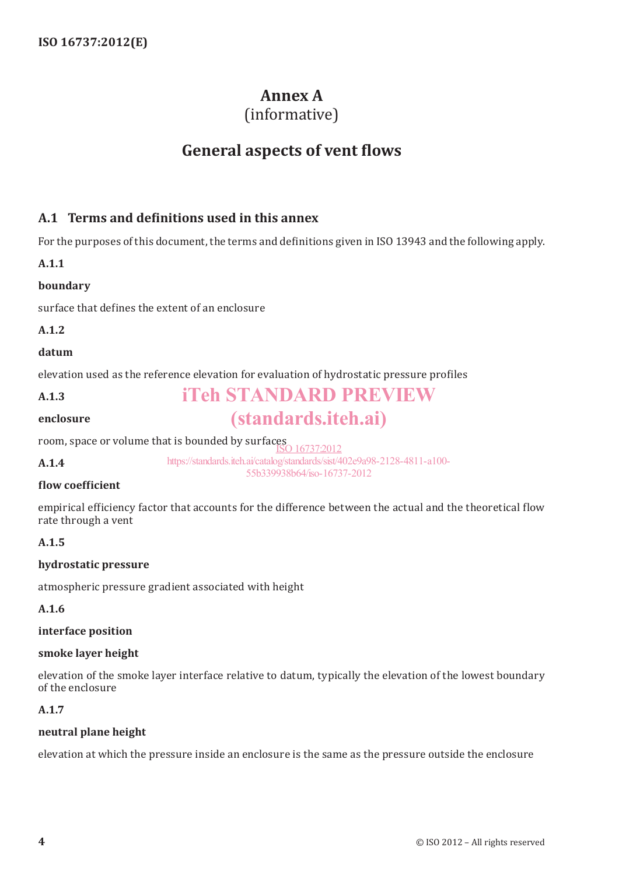# **Annex A**

# (informative)

# **General aspects of vent flows**

## **A.1 Terms and definitions used in this annex**

For the purposes of this document, the terms and definitions given in ISO 13943 and the following apply.

#### **A.1.1**

#### **boundary**

surface that defines the extent of an enclosure

#### **A.1.2**

#### **datum**

elevation used as the reference elevation for evaluation of hydrostatic pressure profiles

**A.1.3**

# iTeh STANDARD PREVIEW (standards.iteh.ai)

#### **enclosure**

room, space or volume that is bounded by surfaces<br><u>ISO 16737:2012</u>

**A.1.4**

https://standards.iteh.ai/catalog/standards/sist/402e9a98-2128-4811-a100- 55b339938b64/iso-16737-2012

#### **flow coefficient**

empirical efficiency factor that accounts for the difference between the actual and the theoretical flow rate through a vent

#### **A.1.5**

#### **hydrostatic pressure**

atmospheric pressure gradient associated with height

#### **A.1.6**

#### **interface position**

#### **smoke layer height**

elevation of the smoke layer interface relative to datum, typically the elevation of the lowest boundary of the enclosure

#### **A.1.7**

#### **neutral plane height**

elevation at which the pressure inside an enclosure is the same as the pressure outside the enclosure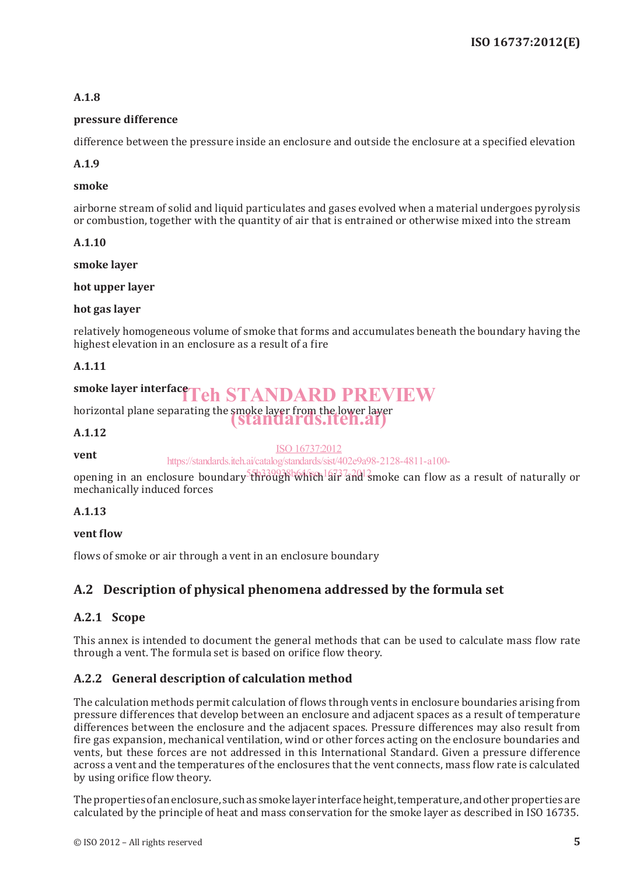### **A.1.8**

#### **pressure difference**

difference between the pressure inside an enclosure and outside the enclosure at a specified elevation

#### **A.1.9**

#### **smoke**

airborne stream of solid and liquid particulates and gases evolved when a material undergoes pyrolysis or combustion, together with the quantity of air that is entrained or otherwise mixed into the stream

#### **A.1.10**

#### **smoke layer**

#### **hot upper layer**

#### **hot gas layer**

relatively homogeneous volume of smoke that forms and accumulates beneath the boundary having the highest elevation in an enclosure as a result of a fire

#### **A.1.11**

# smoke layer interface<sub>Teh</sub> STANDARD PREVIEW

horizontal plane separating the smoke layer from the lower layer<br> **Standards.iteh.ai**)

#### **A.1.12**

**vent**

#### ISO 16737:2012

#### https://standards.iteh.ai/catalog/standards/sist/402e9a98-2128-4811-a100-

opening in an enclosure boundary through which  $167$ <sup>2</sup> and smoke can flow as a result of naturally or mechanically induced forces

#### **A.1.13**

#### **vent flow**

flows of smoke or air through a vent in an enclosure boundary

# **A.2 Description of physical phenomena addressed by the formula set**

#### **A.2.1 Scope**

This annex is intended to document the general methods that can be used to calculate mass flow rate through a vent. The formula set is based on orifice flow theory.

### **A.2.2 General description of calculation method**

The calculation methods permit calculation of flows through vents in enclosure boundaries arising from pressure differences that develop between an enclosure and adjacent spaces as a result of temperature differences between the enclosure and the adjacent spaces. Pressure differences may also result from fire gas expansion, mechanical ventilation, wind or other forces acting on the enclosure boundaries and vents, but these forces are not addressed in this International Standard. Given a pressure difference across a vent and the temperatures of the enclosures that the vent connects, mass flow rate is calculated by using orifice flow theory.

The properties of an enclosure, such as smoke layer interface height, temperature, and other properties are calculated by the principle of heat and mass conservation for the smoke layer as described in ISO 16735.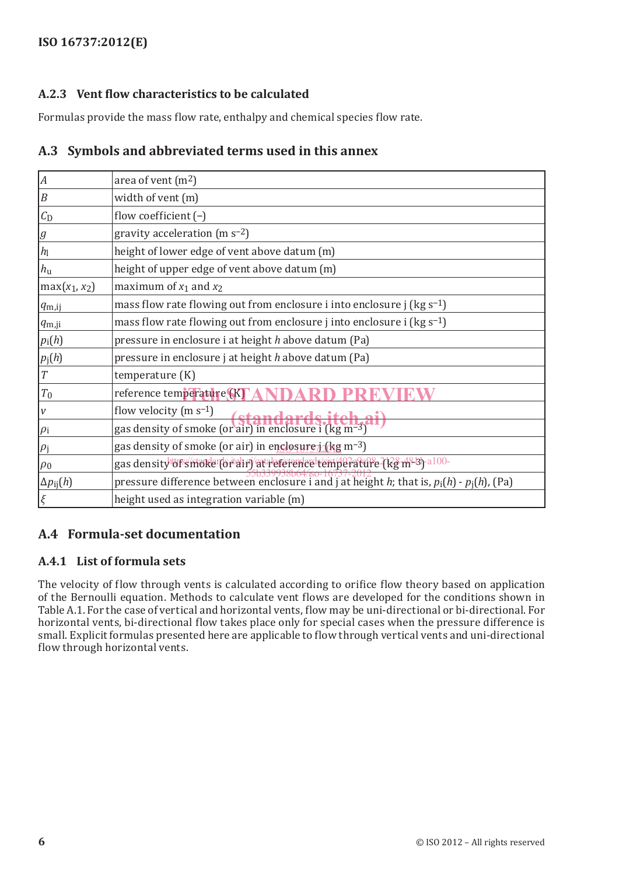## **ISO 16737:2012(E)**

## **A.2.3 Vent flow characteristics to be calculated**

Formulas provide the mass flow rate, enthalpy and chemical species flow rate.

# **A.3 Symbols and abbreviated terms used in this annex**

| A                  | area of vent $(m2)$                                                                            |
|--------------------|------------------------------------------------------------------------------------------------|
| $\overline{B}$     | width of vent (m)                                                                              |
| $ C_{\text{D}} $   | flow coefficient $(-)$                                                                         |
| g                  | gravity acceleration (m $s^{-2}$ )                                                             |
| h                  | height of lower edge of vent above datum (m)                                                   |
| $ h_{\rm u}$       | height of upper edge of vent above datum (m)                                                   |
| $\max(x_1, x_2)$   | maximum of $x_1$ and $x_2$                                                                     |
| $q_{m,ij}$         | mass flow rate flowing out from enclosure i into enclosure j (kg s-1)                          |
| $ q_{m,j}$         | mass flow rate flowing out from enclosure j into enclosure i ( $kg s$ -1)                      |
| $ p_i(h) $         | pressure in enclosure i at height h above datum (Pa)                                           |
| $p_j(h)$           | pressure in enclosure j at height h above datum (Pa)                                           |
| T                  | temperature $(K)$                                                                              |
| $T_0$              | reference temperature (K) A                                                                    |
| V                  | flow velocity $(m s-1)$<br>(standards.itch.ai)                                                 |
| $ \rho_{\rm i} $   | gas density of smoke (or air) in enclosure $i$ (kg m <sup>-3</sup> )                           |
| $ \rho_{\rm j} $   | gas density of smoke (or air) in enclosure $i$ (kg m <sup>-3</sup> )                           |
| $\rho_0$           | gas density of simoker(ortal r) at leference temperature (kg m-3h-a100-                        |
| $\Delta p_{ij}(h)$ | pressure difference between enclosure i and j at height h; that is, $p_i(h)$ - $p_i(h)$ , (Pa) |
| $\zeta$            | height used as integration variable (m)                                                        |

## **A.4 Formula-set documentation**

### **A.4.1 List of formula sets**

The velocity of flow through vents is calculated according to orifice flow theory based on application of the Bernoulli equation. Methods to calculate vent flows are developed for the conditions shown in Table A.1. For the case of vertical and horizontal vents, flow may be uni-directional or bi-directional. For horizontal vents, bi-directional flow takes place only for special cases when the pressure difference is small. Explicit formulas presented here are applicable to flow through vertical vents and uni-directional flow through horizontal vents.